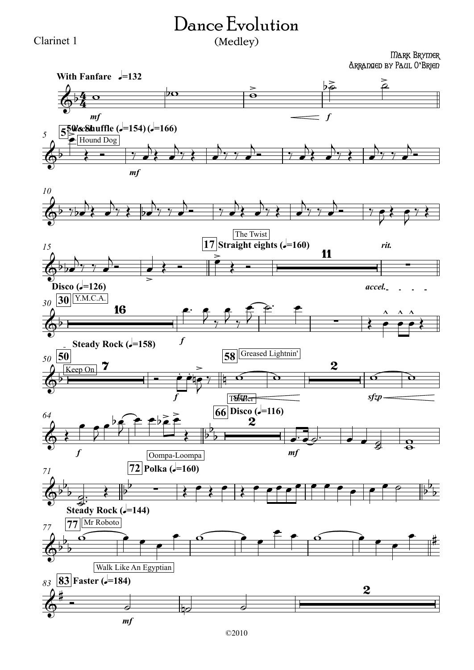## Dance Evolution (Medley)

Clarinet 1

## Mark Brymer Arranged by Paul O**'**Brien

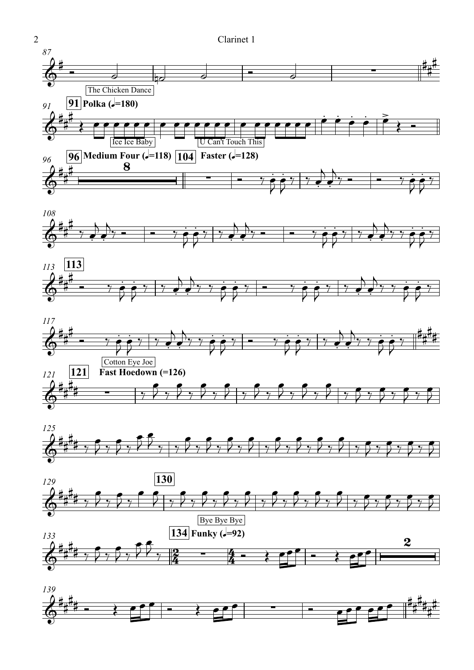